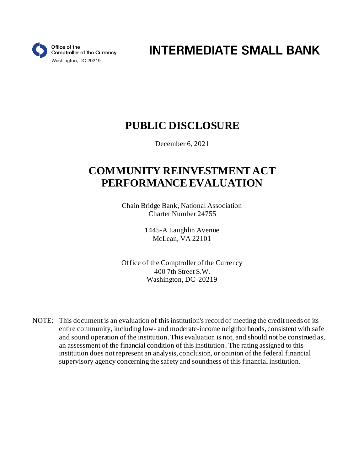

**INTERMEDIATE SMALL BANK** 

# **PUBLIC DISCLOSURE**

December 6, 2021

# **COMMUNITY REINVESTMENT ACT PERFORMANCE EVALUATION**

Chain Bridge Bank, National Association Charter Number 24755

> 1445-A Laughlin Avenue McLean, VA 22101

Office of the Comptroller of the Currency 400 7th Street S.W. Washington, DC 20219

NOTE: This document is an evaluation of this institution's record of meeting the credit needs of its entire community, including low- and moderate-income neighborhoods, consistent with safe and sound operation of the institution. This evaluation is not, and should not be construed as, an assessment of the financial condition of this institution. The rating assigned to this institution does not represent an analysis, conclusion, or opinion of the federal financial supervisory agency concerning the safety and soundness of this financial institution.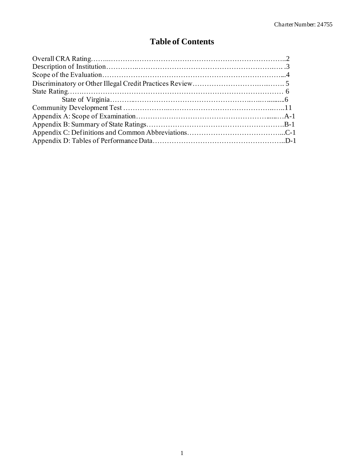## **Table of Contents**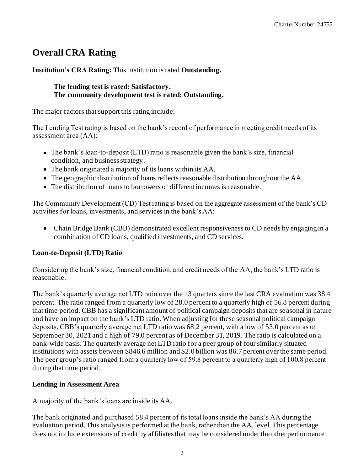## **Overall CRA Rating**

**Institution's CRA Rating:** This institution is rated **Outstanding.**

**The lending test is rated: Satisfactory. The community development test is rated: Outstanding.**

The major factors that support this rating include:

The Lending Test rating is based on the bank's record of performance in meeting credit needs of its assessment area (AA):

- The bank's loan-to-deposit (LTD) ratio is reasonable given the bank's size, financial condition, and business strategy.
- The bank originated a majority of its loans within its AA.
- The geographic distribution of loans reflects reasonable distribution throughout the AA.
- The distribution of loans to borrowers of different incomes is reasonable.

The Community Development (CD) Test rating is based on the aggregate assessment of the bank's CD activities for loans, investments, and services in the bank's AA:

• Chain Bridge Bank (CBB) demonstrated excellent responsiveness to CD needs by engaging in a combination of CD loans, qualified investments, and CD services.

### **Loan-to-Deposit (LTD) Ratio**

Considering the bank's size, financial condition, and credit needs of the AA, the bank's LTD ratio is reasonable.

The bank's quarterly average net LTD ratio over the 13 quarters since the last CRA evaluation was 38.4 percent. The ratio ranged from a quarterly low of 28.0 percent to a quarterly high of 56.8 percent during that time period. CBB has a significant amount of political campaign deposits that are seasonal in nature and have an impact on the bank's LTD ratio. When adjusting for these seasonal political campaign deposits, CBB's quarterly average net LTD ratio was 68.2 percent, with a low of 53.0 percent as of September 30, 2021 and a high of 79.0 percent as of December 31, 2019. The ratio is calculated on a bank-wide basis. The quarterly average net LTD ratio for a peer group of four similarly situated institutions with assets between \$846.6 million and \$2.0 billion was 86.7 percent over the same period. The peer group's ratio ranged from a quarterly low of 59.8 percent to a quarterly high of 100.8 percent during that time period.

### **Lending in Assessment Area**

A majority of the bank's loans are inside its AA.

The bank originated and purchased 58.4 percent of its total loans inside the bank's AA during the evaluation period. This analysis is performed at the bank, rather than the AA, level. This percentage does not include extensions of credit by affiliates that may be considered under the other performance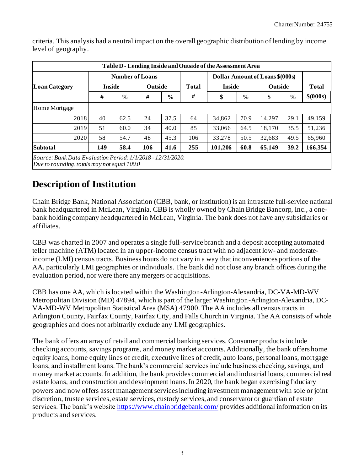| Table D - Lending Inside and Outside of the Assessment Area                                                  |               |                        |         |               |              |               |               |                                                                                                                                                           |  |           |  |  |  |  |
|--------------------------------------------------------------------------------------------------------------|---------------|------------------------|---------|---------------|--------------|---------------|---------------|-----------------------------------------------------------------------------------------------------------------------------------------------------------|--|-----------|--|--|--|--|
|                                                                                                              |               | <b>Number of Loans</b> |         |               |              |               |               |                                                                                                                                                           |  |           |  |  |  |  |
| <b>Loan Category</b>                                                                                         | <b>Inside</b> |                        | Outside |               | <b>Total</b> | <b>Inside</b> |               | Dollar Amount of Loans \$(000s)<br>Outside<br><b>Total</b><br>$\frac{6}{9}$<br>\$<br>29.1<br>14,297<br>18,170<br>35.5<br>32,683<br>49.5<br>65,149<br>39.2 |  |           |  |  |  |  |
|                                                                                                              | #             | $\frac{0}{0}$          | #       | $\frac{6}{6}$ |              | \$            | $\frac{6}{6}$ |                                                                                                                                                           |  | \$ (000s) |  |  |  |  |
| Home Mortgage                                                                                                |               |                        |         |               |              |               |               |                                                                                                                                                           |  |           |  |  |  |  |
| 2018                                                                                                         | 40            | 62.5                   | 24      | 37.5          | 64           | 34,862        | 70.9          |                                                                                                                                                           |  | 49,159    |  |  |  |  |
| 2019                                                                                                         | 51            | 60.0                   | 34      | 40.0          | 85           | 33,066        | 64.5          |                                                                                                                                                           |  | 51,236    |  |  |  |  |
| 2020                                                                                                         | 58            | 54.7                   | 48      | 45.3          | 106          | 33,278        | 50.5          |                                                                                                                                                           |  | 65,960    |  |  |  |  |
| <b>Subtotal</b>                                                                                              | 149           | 58.4                   | 106     | 41.6          | 255          | 101,206       | 60.8          |                                                                                                                                                           |  | 166,354   |  |  |  |  |
| Source: Bank Data Evaluation Period: 1/1/2018 - 12/31/2020.<br>Due to rounding, totals may not equal $100.0$ |               |                        |         |               |              |               |               |                                                                                                                                                           |  |           |  |  |  |  |

criteria. This analysis had a neutral impact on the overall geographic distribution of lending by income level of geography.

## **Description of Institution**

Chain Bridge Bank, National Association (CBB, bank, or institution) is an intrastate full-service national bank headquartered in McLean, Virginia. CBB is wholly owned by Chain Bridge Bancorp, Inc., a onebank holding company headquartered in McLean, Virginia. The bank does not have any subsidiaries or affiliates.

CBB was charted in 2007 and operates a single full-service branch and a deposit accepting automated teller machine (ATM) located in an upper-income census tract with no adjacent low- and moderateincome (LMI) census tracts. Business hours do not vary in a way that inconveniences portions of the AA, particularly LMI geographies or individuals. The bank did not close any branch offices during the evaluation period, nor were there any mergers or acquisitions.

CBB has one AA, which is located within the Washington-Arlington-Alexandria, DC-VA-MD-WV Metropolitan Division (MD) 47894, which is part of the larger Washington-Arlington-Alexandria, DC-VA-MD-WV Metropolitan Statistical Area (MSA) 47900. The AA includes all census tracts in Arlington County, Fairfax County, Fairfax City, and Falls Church in Virginia. The AA consists of whole geographies and does not arbitrarily exclude any LMI geographies.

The bank offers an array of retail and commercial banking services. Consumer products include checking accounts, savings programs, and money market accounts. Additionally, the bank offers home equity loans, home equity lines of credit, executive lines of credit, auto loans, personal loans, mortgage loans, and installment loans. The bank's commercial services include business checking, savings, and money market accounts. In addition, the bank provides commercial and industrial loans, commercial real estate loans, and construction and development loans. In 2020, the bank began exercising fiduciary powers and now offers asset management services including investment management with sole or joint discretion, trustee services, estate services, custody services, and conservator or guardian of estate services. The bank's websit[e https://www.chainbridgebank.com/](https://www.chainbridgebank.com/) provides additional information on its products and services.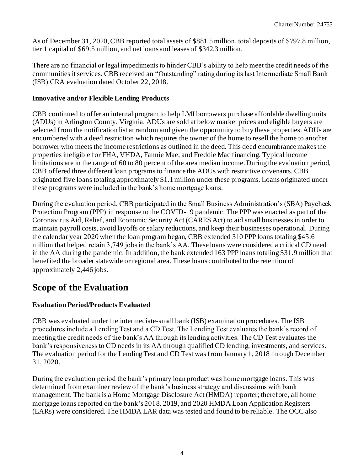As of December 31, 2020, CBB reported total assets of \$881.5 million, total deposits of \$797.8 million, tier 1 capital of \$69.5 million, and net loans and leases of \$342.3 million.

There are no financial or legal impediments to hinder CBB's ability to help meet the credit needs of the communities it services. CBB received an "Outstanding" rating during its last Intermediate Small Bank (ISB) CRA evaluation dated October 22, 2018.

### **Innovative and/or Flexible Lending Products**

CBB continued to offer an internal program to help LMI borrowers purchase affordable dwelling units (ADUs) in Arlington County, Virginia. ADUs are sold at below market prices and eligible buyers are selected from the notification list at random and given the opportunity to buy these properties. ADUs are encumbered with a deed restriction which requires the owner of the home to resell the home to another borrower who meets the income restrictions as outlined in the deed. This deed encumbrance makes the properties ineligible for FHA, VHDA, Fannie Mae, and Freddie Mac financing. Typical income limitations are in the range of 60 to 80 percent of the area median income. During the evaluation period, CBB offered three different loan programs to finance the ADUs with restrictive covenants. CBB originated five loans totaling approximately \$1.1 million under these programs. Loans originated under these programs were included in the bank's home mortgage loans.

During the evaluation period, CBB participated in the Small Business Administration's (SBA) Paycheck Protection Program (PPP) in response to the COVID-19 pandemic. The PPP was enacted as part of the Coronavirus Aid, Relief, and Economic Security Act (CARES Act) to aid small businesses in order to maintain payroll costs, avoid layoffs or salary reductions, and keep their businesses operational. During the calendar year 2020 when the loan program began, CBB extended 310 PPP loans totaling \$45.6 million that helped retain 3,749 jobs in the bank's AA. These loans were considered a critical CD need in the AA during the pandemic. In addition, the bank extended 163 PPP loans totaling \$31.9 million that benefited the broader statewide or regional area. These loans contributed to the retention of approximately 2,446 jobs.

## **Scope of the Evaluation**

### **Evaluation Period/Products Evaluated**

CBB was evaluated under the intermediate-small bank (ISB) examination procedures. The ISB procedures include a Lending Test and a CD Test. The Lending Test evaluates the bank's record of meeting the credit needs of the bank's AA through its lending activities. The CD Test evaluates the bank's responsiveness to CD needs in its AA through qualified CD lending, investments, and services. The evaluation period for the Lending Test and CD Test was from January 1, 2018 through December 31, 2020.

During the evaluation period the bank's primary loan product was home mortgage loans. This was determined from examiner review of the bank's business strategy and discussions with bank management. The bank is a Home Mortgage Disclosure Act (HMDA) reporter; therefore, all home mortgage loans reported on the bank's 2018, 2019, and 2020 HMDA Loan Application Registers (LARs) were considered. The HMDA LAR data was tested and found to be reliable. The OCC also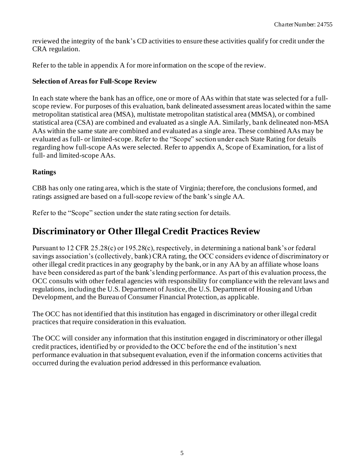reviewed the integrity of the bank's CD activities to ensure these activities qualify for credit under the CRA regulation.

Refer to the table in appendix A for more information on the scope of the review.

#### **Selection of Areas for Full-Scope Review**

In each state where the bank has an office, one or more of AAs within that state was selected for a fullscope review. For purposes of this evaluation, bank delineated assessment areas located within the same metropolitan statistical area (MSA), multistate metropolitan statistical area (MMSA), or combined statistical area (CSA) are combined and evaluated as a single AA. Similarly, bank delineated non-MSA AAs within the same state are combined and evaluated as a single area. These combined AAs may be evaluated as full- or limited-scope. Refer to the "Scope" section under each State Rating for details regarding how full-scope AAs were selected. Refer to appendix A, Scope of Examination, for a list of full- and limited-scope AAs.

#### **Ratings**

CBB has only one rating area, which is the state of Virginia; therefore, the conclusions formed, and ratings assigned are based on a full-scope review of the bank's single AA.

Refer to the "Scope" section under the state rating section for details.

### **Discriminatory or Other Illegal Credit Practices Review**

Pursuant to 12 CFR 25.28(c) or 195.28(c), respectively, in determining a national bank's or federal savings association's (collectively, bank) CRA rating, the OCC considers evidence of discriminatory or other illegal credit practices in any geography by the bank, or in any AA by an affiliate whose loans have been considered as part of the bank's lending performance. As part of this evaluation process, the OCC consults with other federal agencies with responsibility for compliance with the relevant laws and regulations, including the U.S. Department of Justice, the U.S. Department of Housing and Urban Development, and the Bureau of Consumer Financial Protection, as applicable.

The OCC has not identified that this institution has engaged in discriminatory or other illegal credit practices that require consideration in this evaluation.

The OCC will consider any information that this institution engaged in discriminatory or other illegal credit practices, identified by or provided to the OCC before the end of the institution's next performance evaluation in that subsequent evaluation, even if the information concerns activities that occurred during the evaluation period addressed in this performance evaluation.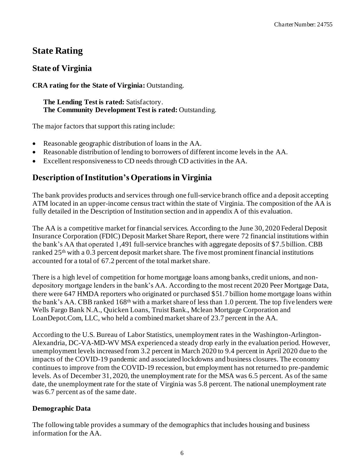## **State Rating**

### **State of Virginia**

### **CRA rating for the State of Virginia:** Outstanding.

**The Lending Test is rated:** Satisfactory. **The Community Development Test is rated:** Outstanding.

The major factors that support this rating include:

- Reasonable geographic distribution of loans in the AA.
- Reasonable distribution of lending to borrowers of different income levels in the AA.
- Excellent responsiveness to CD needs through CD activities in the AA.

### **Description of Institution's Operations in Virginia**

The bank provides products and services through one full-service branch office and a deposit accepting ATM located in an upper-income census tract within the state of Virginia. The composition of the AA is fully detailed in the Description of Institution section and in appendix A of this evaluation.

The AA is a competitive market for financial services. According to the June 30, 2020 Federal Deposit Insurance Corporation (FDIC) Deposit Market Share Report, there were 72 financial institutions within the bank's AA that operated 1,491 full-service branches with aggregate deposits of \$7.5 billion. CBB ranked 25th with a 0.3 percent deposit market share. The five most prominent financial institutions accounted for a total of 67.2 percent of the total market share.

There is a high level of competition for home mortgage loans among banks, credit unions, and nondepository mortgage lenders in the bank's AA*.* According to the most recent 2020 Peer Mortgage Data, there were 647 HMDA reporters who originated or purchased \$51.7 billion home mortgage loans within the bank's AA. CBB ranked  $168<sup>th</sup>$  with a market share of less than 1.0 percent. The top five lenders were Wells Fargo Bank N.A., Quicken Loans, Truist Bank., Mclean Mortgage Corporation and LoanDepot.Com, LLC, who held a combined market share of 23.7 percent in the AA.

According to the U.S. Bureau of Labor Statistics, unemployment rates in the Washington-Arlington-Alexandria, DC-VA-MD-WV MSA experienced a steady drop early in the evaluation period. However, unemployment levels increased from 3.2 percent in March 2020 to 9.4 percent in April 2020 due to the impacts of the COVID-19 pandemic and associated lockdowns and business closures. The economy continues to improve from the COVID-19 recession, but employment has not returned to pre-pandemic levels. As of December 31, 2020, the unemployment rate for the MSA was 6.5 percent. As of the same date, the unemployment rate for the state of Virginia was 5.8 percent. The national unemployment rate was 6.7 percent as of the same date.

### **Demographic Data**

The following table provides a summary of the demographics that includes housing and business information for the AA.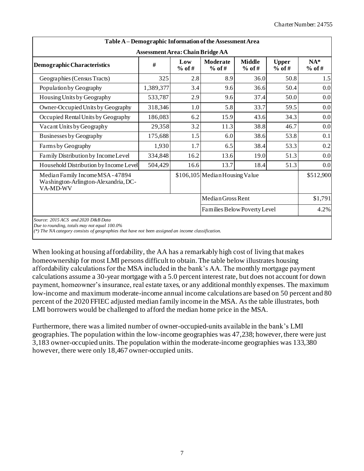| Table A - Demographic Information of the Assessment Area                                                                                                                                           |           |      |                                |      |      |           |  |  |  |  |  |  |  |
|----------------------------------------------------------------------------------------------------------------------------------------------------------------------------------------------------|-----------|------|--------------------------------|------|------|-----------|--|--|--|--|--|--|--|
| <b>Assessment Area: Chain Bridge AA</b><br><b>Moderate</b><br><b>Middle</b><br><b>Upper</b><br>Low<br>#<br>Demographic Characteristics<br>$%$ of #<br>$%$ of #<br>$%$ of #<br>$%$ of #<br>$%$ of # |           |      |                                |      |      |           |  |  |  |  |  |  |  |
| Geographies (Census Tracts)                                                                                                                                                                        | 325       | 2.8  | 8.9                            | 36.0 | 50.8 | 1.5       |  |  |  |  |  |  |  |
| Population by Geography                                                                                                                                                                            | 1,389,377 | 3.4  | 9.6                            | 36.6 | 50.4 | 0.0       |  |  |  |  |  |  |  |
| Housing Units by Geography                                                                                                                                                                         | 533,787   | 2.9  | 9.6                            | 37.4 | 50.0 | 0.0       |  |  |  |  |  |  |  |
| Owner-Occupied Units by Geography                                                                                                                                                                  | 318,346   | 1.0  | 5.8                            | 33.7 | 59.5 | 0.0       |  |  |  |  |  |  |  |
| Occupied Rental Units by Geography                                                                                                                                                                 | 186,083   | 6.2  | 15.9                           | 43.6 | 34.3 | 0.0       |  |  |  |  |  |  |  |
| Vacant Units by Geography                                                                                                                                                                          | 29,358    | 3.2  | 11.3                           | 38.8 | 46.7 | 0.0       |  |  |  |  |  |  |  |
| <b>Businesses by Geography</b>                                                                                                                                                                     | 175,688   | 1.5  | 6.0                            | 38.6 | 53.8 | 0.1       |  |  |  |  |  |  |  |
| Farms by Geography                                                                                                                                                                                 | 1,930     | 1.7  | 6.5                            | 38.4 | 53.3 | 0.2       |  |  |  |  |  |  |  |
| Family Distribution by Income Level                                                                                                                                                                | 334,848   | 16.2 | 13.6                           | 19.0 | 51.3 | 0.0       |  |  |  |  |  |  |  |
| Household Distribution by Income Level                                                                                                                                                             | 504,429   | 16.6 | 13.7                           | 18.4 | 51.3 | 0.0       |  |  |  |  |  |  |  |
| Median Family Income MSA - 47894<br>Washington-Arlington-Alexandria, DC-<br>VA-MD-WV                                                                                                               |           |      | \$106,105 Median Housing Value |      |      | \$512,900 |  |  |  |  |  |  |  |
|                                                                                                                                                                                                    |           |      | Median Gross Rent              |      |      | \$1,791   |  |  |  |  |  |  |  |
|                                                                                                                                                                                                    |           |      | Families Below Poverty Level   |      |      | 4.2%      |  |  |  |  |  |  |  |
| Source: 2015 ACS and 2020 D&B Data<br>Due to rounding, totals may not equal 100.0%<br>(*) The NA category consists of geographies that have not been assigned an income classification.            |           |      |                                |      |      |           |  |  |  |  |  |  |  |

When looking at housing affordability, the AA has a remarkably high cost of living that makes homeownership for most LMI persons difficult to obtain. The table below illustrates housing affordability calculations for the MSA included in the bank's AA. The monthly mortgage payment calculations assume a 30-year mortgage with a 5.0 percent interest rate, but does not account for down payment, homeowner's insurance, real estate taxes, or any additional monthly expenses. The maximum low-income and maximum moderate-income annual income calculations are based on 50 percent and 80 percent of the 2020 FFIEC adjusted median family income in the MSA. As the table illustrates, both LMI borrowers would be challenged to afford the median home price in the MSA.

Furthermore, there was a limited number of owner-occupied-units available in the bank's LMI geographies. The population within the low-income geographies was 47,238; however, there were just 3,183 owner-occupied units. The population within the moderate-income geographies was 133,380 however, there were only 18,467 owner-occupied units.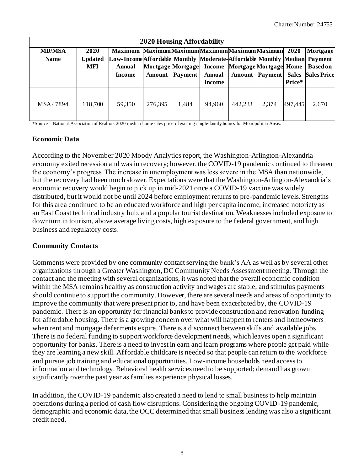|               | <b>2020 Housing Affordability</b> |                                                                          |                   |                       |               |         |       |         |                                         |  |  |  |  |  |  |
|---------------|-----------------------------------|--------------------------------------------------------------------------|-------------------|-----------------------|---------------|---------|-------|---------|-----------------------------------------|--|--|--|--|--|--|
| <b>MD/MSA</b> | 2020                              | Maximum MaximumMaximumMaximumMaximumMaximum 2020                         |                   |                       |               |         |       |         | Mortgage                                |  |  |  |  |  |  |
| <b>Name</b>   | <b>Updated</b>                    | Low-Income Affordable Monthly Moderate-Affordable Monthly Median Payment |                   |                       |               |         |       |         |                                         |  |  |  |  |  |  |
|               | MFI                               | <b>Annual</b>                                                            | Mortgage Mortgage |                       | <b>Income</b> |         |       |         | Mortgage Mortgage Home   Based on       |  |  |  |  |  |  |
|               |                                   | Income                                                                   |                   | <b>Amount</b> Payment | <b>Annual</b> |         |       |         | <b>Amount Payment Sales Sales Price</b> |  |  |  |  |  |  |
|               |                                   |                                                                          |                   |                       | Income        |         |       | Price*  |                                         |  |  |  |  |  |  |
| MSA47894      | 118,700                           | 59.350                                                                   | 276,395           | 1,484                 | 94,960        | 442,233 | 2,374 | 497.445 | 2,670                                   |  |  |  |  |  |  |

\*Source – National Association of Realtors 2020 median home sales price of existing single-family homes for Metropolitan Areas.

### **Economic Data**

According to the November 2020 Moody Analytics report, the Washington-Arlington-Alexandria economy exited recession and was in recovery; however, the COVID-19 pandemic continued to threaten the economy's progress. The increase in unemployment was less severe in the MSA than nationwide, but the recovery had been much slower. Expectations were that the Washington-Arlington-Alexandria's economic recovery would begin to pick up in mid-2021 once a COVID-19 vaccine was widely distributed, but it would not be until 2024 before employment returns to pre-pandemic levels. Strengths for this area continued to be an educated workforce and high per capita income, increased notoriety as an East Coast technical industry hub, and a popular tourist destination. Weaknesses included exposure to downturn in tourism, above average living costs, high exposure to the federal government, and high business and regulatory costs.

### **Community Contacts**

Comments were provided by one community contact serving the bank's AA as well as by several other organizations through a Greater Washington, DC Community Needs Assessment meeting. Through the contact and the meeting with several organizations, it was noted that the overall economic condition within the MSA remains healthy as construction activity and wages are stable, and stimulus payments should continue to support the community. However, there are several needs and areas of opportunity to improve the community that were present prior to, and have been exacerbated by, the COVID-19 pandemic. There is an opportunity for financial banks to provide construction and renovation funding for affordable housing. There is a growing concern over what will happen to renters and homeowners when rent and mortgage deferments expire. There is a disconnect between skills and available jobs. There is no federal funding to support workforce development needs, which leaves open a significant opportunity for banks. There is a need to invest in earn and learn programs where people get paid while they are learning a new skill. Affordable childcare is needed so that people can return to the workforce and pursue job training and educational opportunities. Low-income households need accessto information and technology. Behavioral health services need to be supported; demand has grown significantly over the past year as families experience physical losses.

In addition, the COVID-19 pandemic also created a need to lend to small business to help maintain operations during a period of cash flow disruptions. Considering the ongoing COVID-19 pandemic, demographic and economic data, the OCC determined that small business lending was also a significant credit need.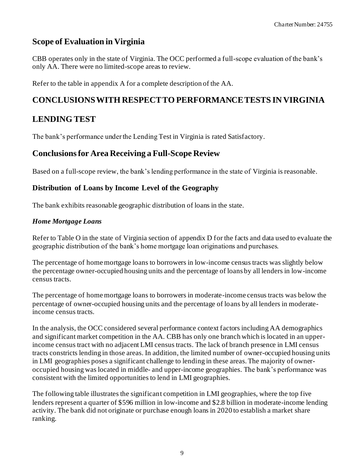### **Scope of Evaluation in Virginia**

CBB operates only in the state of Virginia. The OCC performed a full-scope evaluation of the bank's only AA. There were no limited-scope areas to review.

Refer to the table in appendix A for a complete description of the AA.

### **CONCLUSIONS WITH RESPECT TO PERFORMANCE TESTS IN VIRGINIA**

### **LENDING TEST**

The bank's performance under the Lending Test in Virginia is rated Satisfactory.

### **Conclusions for Area Receiving a Full-Scope Review**

Based on a full-scope review, the bank's lending performance in the state of Virginia is reasonable.

### **Distribution of Loans by Income Level of the Geography**

The bank exhibits reasonable geographic distribution of loans in the state.

### *Home Mortgage Loans*

Refer to Table O in the state of Virginia section of appendix D for the facts and data used to evaluate the geographic distribution of the bank's home mortgage loan originations and purchases.

The percentage of home mortgage loans to borrowers in low-income census tracts was slightly below the percentage owner-occupied housing units and the percentage of loans by all lenders in low-income census tracts.

The percentage of home mortgage loans to borrowers in moderate-income census tracts was below the percentage of owner-occupied housing units and the percentage of loans by all lenders in moderateincome census tracts.

In the analysis, the OCC considered several performance context factors including AA demographics and significant market competition in the AA. CBB has only one branch which is located in an upperincome census tract with no adjacent LMI census tracts. The lack of branch presence in LMI census tracts constricts lending in those areas. In addition, the limited number of owner-occupied housing units in LMI geographies poses a significant challenge to lending in these areas. The majority of owneroccupied housing was located in middle- and upper-income geographies. The bank's performance was consistent with the limited opportunities to lend in LMI geographies.

The following table illustrates the significant competition in LMI geographies, where the top five lenders represent a quarter of \$596 million in low-income and \$2.8 billion in moderate-income lending activity. The bank did not originate or purchase enough loans in 2020 to establish a market share ranking.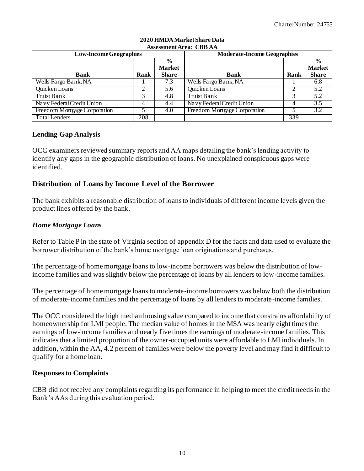| 2020 HMDA Market Share Data    |      |               |                                    |      |               |  |  |  |  |  |  |  |  |  |
|--------------------------------|------|---------------|------------------------------------|------|---------------|--|--|--|--|--|--|--|--|--|
| <b>Assessment Area: CBB AA</b> |      |               |                                    |      |               |  |  |  |  |  |  |  |  |  |
| <b>Low-Income Geographies</b>  |      |               | <b>Moderate-Income Geographies</b> |      |               |  |  |  |  |  |  |  |  |  |
|                                |      | $\frac{6}{9}$ |                                    |      | $\frac{6}{9}$ |  |  |  |  |  |  |  |  |  |
|                                |      | <b>Market</b> |                                    |      | <b>Market</b> |  |  |  |  |  |  |  |  |  |
| <b>Bank</b>                    | Rank | <b>Share</b>  | <b>Bank</b>                        | Rank | <b>Share</b>  |  |  |  |  |  |  |  |  |  |
| Wells Fargo Bank, NA           |      | 7.3           | Wells Fargo Bank, NA               |      | 6.8           |  |  |  |  |  |  |  |  |  |
| Quicken Loans                  | 2    | 5.6           | Quicken Loans                      | ↑    | 5.2           |  |  |  |  |  |  |  |  |  |
| <b>Truist Bank</b>             |      | 4.8           | <b>Truist Bank</b>                 |      | 5.2           |  |  |  |  |  |  |  |  |  |
| Navy Federal Credit Union      | 4    | 4.4           | Navy Federal Credit Union          | 4    | 3.5           |  |  |  |  |  |  |  |  |  |
| Freedom Mortgage Corporation   |      | 4.0           | Freedom Mortgage Corporation       |      | 3.2           |  |  |  |  |  |  |  |  |  |
| TotalLenders                   | 208  |               |                                    | 339  |               |  |  |  |  |  |  |  |  |  |

### **Lending Gap Analysis**

OCC examiners reviewed summary reports and AA maps detailing the bank's lending activity to identify any gaps in the geographic distribution of loans. No unexplained conspicuous gaps were identified.

### **Distribution of Loans by Income Level of the Borrower**

The bank exhibits a reasonable distribution of loans to individuals of different income levels given the product lines offered by the bank.

### *Home Mortgage Loans*

Refer to Table P in the state of Virginia section of appendix D for the facts and data used to evaluate the borrower distribution of the bank's home mortgage loan originations and purchases.

The percentage of home mortgage loans to low-income borrowers was below the distribution of lowincome families and was slightly below the percentage of loans by all lenders to low-income families.

The percentage of home mortgage loans to moderate-income borrowers was below both the distribution of moderate-income families and the percentage of loans by all lenders to moderate-income families.

The OCC considered the high median housing value compared to income that constrains affordability of homeownership for LMI people. The median value of homes in the MSA was nearly eight times the earnings of low-income families and nearly five times the earnings of moderate-income families. This indicates that a limited proportion of the owner-occupied units were affordable to LMI individuals. In addition, within the AA, 4.2 percent of families were below the poverty level and may find it difficult to qualify for a home loan.

### **Responses to Complaints**

CBB did not receive any complaints regarding its performance in helping to meet the credit needs in the Bank's AAs during this evaluation period.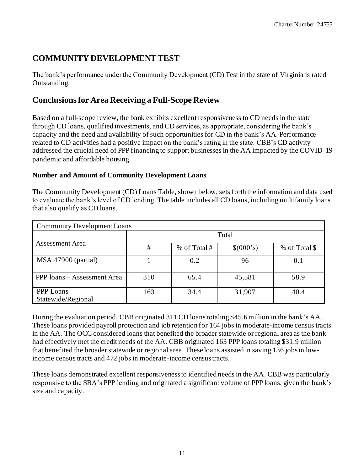### **COMMUNITY DEVELOPMENT TEST**

The bank's performance under the Community Development (CD) Test in the state of Virginia is rated Outstanding.

### **Conclusions for Area Receiving a Full-Scope Review**

Based on a full-scope review, the bank exhibits excellent responsiveness to CD needs in the state through CD loans, qualified investments, and CD services, as appropriate, considering the bank's capacity and the need and availability of such opportunities for CD in the bank's AA. Performance related to CD activities had a positive impact on the bank's rating in the state. CBB's CD activity addressed the crucial need of PPP financing to support businesses in the AA impacted by the COVID-19 pandemic and affordable housing.

#### **Number and Amount of Community Development Loans**

The Community Development (CD) Loans Table, shown below, sets forth the information and data used to evaluate the bank's level of CD lending. The table includes all CD loans, including multifamily loans that also qualify as CD loans.

| <b>Community Development Loans</b> |      |                |           |               |  |  |  |  |  |  |  |  |  |
|------------------------------------|------|----------------|-----------|---------------|--|--|--|--|--|--|--|--|--|
|                                    |      | Total          |           |               |  |  |  |  |  |  |  |  |  |
| Assessment Area                    | $\#$ | % of Total $#$ | \$(000's) | % of Total \$ |  |  |  |  |  |  |  |  |  |
| MSA 47900 (partial)                |      | 0.2            | 96        | 0.1           |  |  |  |  |  |  |  |  |  |
| PPP loans – Assessment Area        | 310  | 65.4           | 45,581    | 58.9          |  |  |  |  |  |  |  |  |  |
| PPP Loans<br>Statewide/Regional    | 163  | 34.4           | 31,907    | 40.4          |  |  |  |  |  |  |  |  |  |

During the evaluation period, CBB originated 311 CD loans totaling \$45.6 million in the bank's AA. These loans provided payroll protection and job retention for 164 jobs in moderate-income census tracts in the AA. The OCC considered loans that benefited the broader statewide or regional area as the bank had effectively met the credit needs of the AA. CBB originated 163 PPP loans totaling \$31.9 million that benefited the broader statewide or regional area. These loans assisted in saving 136 jobs in lowincome census tracts and 472 jobs in moderate-income census tracts.

These loans demonstrated excellent responsiveness to identified needs in the AA. CBB was particularly responsive to the SBA's PPP lending and originated a significant volume of PPP loans, given the bank's size and capacity.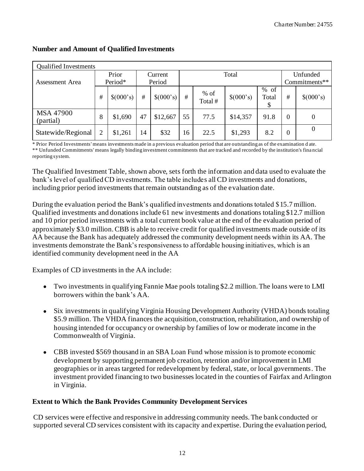| <b>Qualified Investments</b>  |   |           |    |           |    |                   |           |               |               |                  |  |
|-------------------------------|---|-----------|----|-----------|----|-------------------|-----------|---------------|---------------|------------------|--|
|                               |   | Prior     |    | Current   |    | Total             |           | Unfunded      |               |                  |  |
| Assessment Area               |   | Period*   |    | Period    |    |                   |           |               | Commitments** |                  |  |
|                               | # | \$(000's) | #  | \$(000's) | #  | $%$ of<br>Total # | \$(000's) | % of<br>Total | #             | \$(000's)        |  |
| <b>MSA 47900</b><br>(partial) | 8 | \$1,690   | 47 | \$12,667  | 55 | 77.5              | \$14,357  | 91.8          | $\theta$      | $\boldsymbol{0}$ |  |
| Statewide/Regional            |   | \$1,261   | 14 | \$32      | 16 | 22.5              | \$1,293   | 8.2           | 0             | $\boldsymbol{0}$ |  |

### **Number and Amount of Qualified Investments**

\* Prior Period Investments' means investments made in a previous evaluation period that are outstanding as of the examination d ate. \*\* Unfunded Commitments' means legally binding investment commitments that are tracked and recorded by the institution's fina ncial reporting system.

The Qualified Investment Table, shown above, sets forth the information and data used to evaluate the bank's level of qualified CD investments. The table includes all CD investments and donations, including prior period investments that remain outstanding as of the evaluation date.

During the evaluation period the Bank's qualified investments and donations totaled \$15.7 million. Qualified investments and donations include 61 new investments and donations totaling \$12.7 million and 10 prior period investments with a total current book value at the end of the evaluation period of approximately \$3.0 million. CBB is able to receive credit for qualified investments made outside of its AA because the Bank has adequately addressed the community development needs within its AA. The investments demonstrate the Bank's responsiveness to affordable housing initiatives, which is an identified community development need in the AA

Examples of CD investments in the AA include:

- Two investments in qualifying Fannie Mae pools totaling \$2.2 million. The loans were to LMI borrowers within the bank's AA.
- Six investments in qualifying Virginia Housing Development Authority (VHDA) bonds totaling \$5.9 million. The VHDA finances the acquisition, construction, rehabilitation, and ownership of housing intended for occupancy or ownership by families of low or moderate income in the Commonwealth of Virginia.
- CBB invested \$569 thousand in an SBA Loan Fund whose mission is to promote economic development by supporting permanent job creation, retention and/or improvement in LMI geographies or in areas targeted for redevelopment by federal, state, or local governments. The investment provided financing to two businesses located in the counties of Fairfax and Arlington in Virginia.

### **Extent to Which the Bank Provides Community Development Services**

CD services were effective and responsive in addressing community needs. The bank conducted or supported several CD services consistent with its capacity and expertise. During the evaluation period,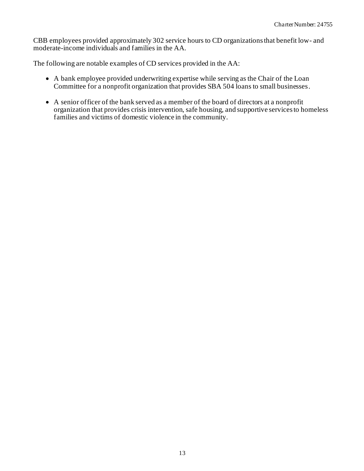CBB employees provided approximately 302 service hours to CD organizations that benefit low- and moderate-income individuals and families in the AA.

The following are notable examples of CD services provided in the AA:

- A bank employee provided underwriting expertise while serving as the Chair of the Loan Committee for a nonprofit organization that provides SBA 504 loans to small businesses.
- A senior officer of the bank served as a member of the board of directors at a nonprofit organization that provides crisis intervention, safe housing, and supportive services to homeless families and victims of domestic violence in the community.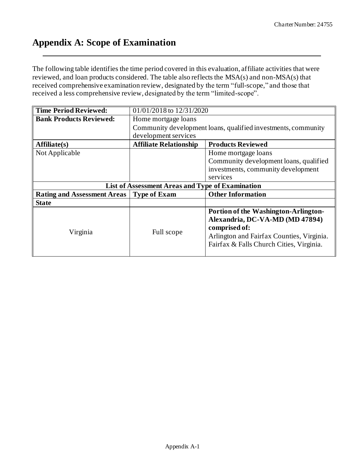## **Appendix A: Scope of Examination**

The following table identifies the time period covered in this evaluation, affiliate activities that were reviewed, and loan products considered. The table also reflects the MSA(s) and non-MSA(s) that received comprehensive examination review, designated by the term "full-scope," and those that received a less comprehensive review, designated by the term "limited-scope".

| <b>Time Period Reviewed:</b>       | 01/01/2018 to 12/31/2020                                      |                                           |  |  |  |  |  |
|------------------------------------|---------------------------------------------------------------|-------------------------------------------|--|--|--|--|--|
| <b>Bank Products Reviewed:</b>     | Home mortgage loans                                           |                                           |  |  |  |  |  |
|                                    | Community development loans, qualified investments, community |                                           |  |  |  |  |  |
|                                    | development services                                          |                                           |  |  |  |  |  |
| Affiliate(s)                       | <b>Affiliate Relationship</b>                                 | <b>Products Reviewed</b>                  |  |  |  |  |  |
| Not Applicable                     |                                                               | Home mortgage loans                       |  |  |  |  |  |
|                                    |                                                               | Community development loans, qualified    |  |  |  |  |  |
|                                    |                                                               | investments, community development        |  |  |  |  |  |
|                                    |                                                               | services                                  |  |  |  |  |  |
|                                    |                                                               |                                           |  |  |  |  |  |
|                                    | List of Assessment Areas and Type of Examination              |                                           |  |  |  |  |  |
| <b>Rating and Assessment Areas</b> | <b>Type of Exam</b>                                           | <b>Other Information</b>                  |  |  |  |  |  |
| <b>State</b>                       |                                                               |                                           |  |  |  |  |  |
|                                    |                                                               | Portion of the Washington-Arlington-      |  |  |  |  |  |
|                                    |                                                               | Alexandria, DC-VA-MD (MD 47894)           |  |  |  |  |  |
|                                    |                                                               | comprised of:                             |  |  |  |  |  |
| Virginia                           | Full scope                                                    | Arlington and Fairfax Counties, Virginia. |  |  |  |  |  |
|                                    |                                                               | Fairfax & Falls Church Cities, Virginia.  |  |  |  |  |  |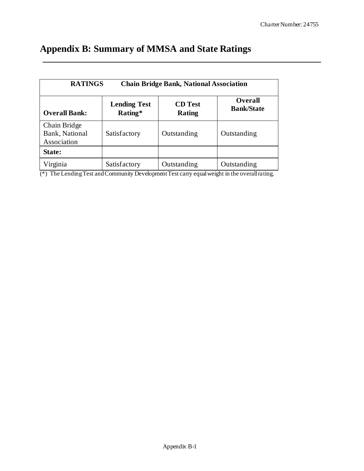## **Appendix B: Summary of MMSA and State Ratings**

|                                                                                                                    | <b>RATINGS</b><br><b>Chain Bridge Bank, National Association</b> |             |             |  |  |  |  |  |  |  |  |  |  |  |
|--------------------------------------------------------------------------------------------------------------------|------------------------------------------------------------------|-------------|-------------|--|--|--|--|--|--|--|--|--|--|--|
| Overall<br><b>Lending Test</b><br><b>CD</b> Test<br><b>Bank/State</b><br>Rating*<br><b>Overall Bank:</b><br>Rating |                                                                  |             |             |  |  |  |  |  |  |  |  |  |  |  |
| Chain Bridge<br>Bank, National<br>Association                                                                      | Satisfactory                                                     | Outstanding | Outstanding |  |  |  |  |  |  |  |  |  |  |  |
| State:                                                                                                             |                                                                  |             |             |  |  |  |  |  |  |  |  |  |  |  |
| Virginia                                                                                                           | Satisfactory                                                     | Outstanding | Outstanding |  |  |  |  |  |  |  |  |  |  |  |

(\*) The Lending Test and Community Development Test carry equal weight in the overall rating.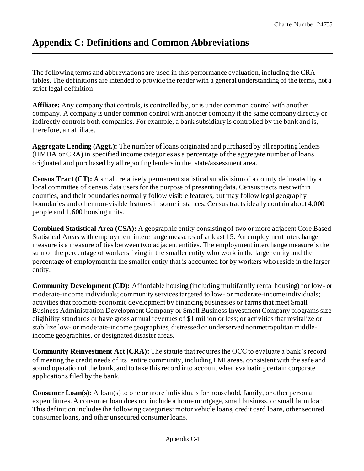## **Appendix C: Definitions and Common Abbreviations**

The following terms and abbreviations are used in this performance evaluation, including the CRA tables. The definitions are intended to provide the reader with a general understanding of the terms, not a strict legal definition.

**Affiliate:** Any company that controls, is controlled by, or is under common control with another company. A company is under common control with another company if the same company directly or indirectly controls both companies. For example, a bank subsidiary is controlled by the bank and is, therefore, an affiliate.

**Aggregate Lending (Aggt.):** The number of loans originated and purchased by all reporting lenders (HMDA or CRA) in specified income categories as a percentage of the aggregate number of loans originated and purchased by all reporting lenders in the state/assessment area.

**Census Tract (CT):** A small, relatively permanent statistical subdivision of a county delineated by a local committee of census data users for the purpose of presenting data. Census tracts nest within counties, and their boundaries normally follow visible features, but may follow legal geography boundaries and other non-visible features in some instances, Census tracts ideally contain about 4,000 people and 1,600 housing units.

**Combined Statistical Area (CSA):** A geographic entity consisting of two or more adjacent Core Based Statistical Areas with employment interchange measures of at least 15. An employment interchange measure is a measure of ties between two adjacent entities. The employment interchange measure is the sum of the percentage of workers living in the smaller entity who work in the larger entity and the percentage of employment in the smaller entity that is accounted for by workers who reside in the larger entity.

**Community Development (CD):** Affordable housing (including multifamily rental housing) for low- or moderate-income individuals; community services targeted to low- or moderate-income individuals; activities that promote economic development by financing businesses or farms that meet Small Business Administration Development Company or Small Business Investment Company programs size eligibility standards or have gross annual revenues of \$1 million or less; or activities that revitalize or stabilize low- or moderate-income geographies, distressed or underserved nonmetropolitan middleincome geographies, or designated disaster areas.

**Community Reinvestment Act (CRA):** The statute that requires the OCC to evaluate a bank's record of meeting the credit needs of its entire community, including LMI areas, consistent with the safe and sound operation of the bank, and to take this record into account when evaluating certain corporate applications filed by the bank.

**Consumer Loan(s):** A loan(s) to one or more individuals for household, family, or other personal expenditures. A consumer loan does not include a home mortgage, small business, or small farm loan. This definition includes the following categories: motor vehicle loans, credit card loans, other secured consumer loans, and other unsecured consumer loans.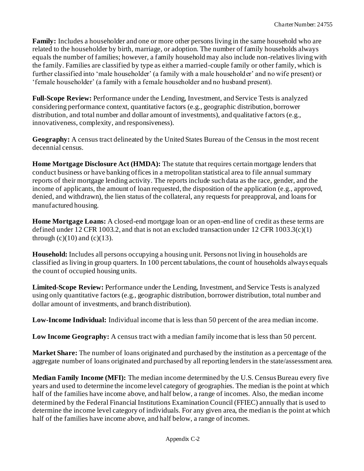**Family:** Includes a householder and one or more other persons living in the same household who are related to the householder by birth, marriage, or adoption. The number of family households always equals the number of families; however, a family household may also include non-relatives living with the family. Families are classified by type as either a married-couple family or other family, which is further classified into 'male householder' (a family with a male householder' and no wife present) or 'female householder' (a family with a female householder and no husband present).

**Full-Scope Review:** Performance under the Lending, Investment, and Service Tests is analyzed considering performance context, quantitative factors (e.g., geographic distribution, borrower distribution, and total number and dollar amount of investments), and qualitative factors (e.g., innovativeness, complexity, and responsiveness).

**Geography:** A census tract delineated by the United States Bureau of the Census in the most recent decennial census.

**Home Mortgage Disclosure Act (HMDA):** The statute that requires certain mortgage lenders that conduct business or have banking offices in a metropolitan statistical area to file annual summary reports of their mortgage lending activity. The reports include such data as the race, gender, and the income of applicants, the amount of loan requested, the disposition of the application (e.g., approved, denied, and withdrawn), the lien status of the collateral, any requests for preapproval, and loans for manufactured housing.

**Home Mortgage Loans:** A closed-end mortgage loan or an open-end line of credit as these terms are defined under 12 CFR 1003.2, and that is not an excluded transaction under 12 CFR 1003.3(c)(1) through  $(c)(10)$  and  $(c)(13)$ .

**Household:** Includes all persons occupying a housing unit. Persons not living in households are classified as living in group quarters. In 100 percent tabulations, the count of households always equals the count of occupied housing units.

**Limited-Scope Review:** Performance under the Lending, Investment, and Service Tests is analyzed using only quantitative factors (e.g., geographic distribution, borrower distribution, total number and dollar amount of investments, and branch distribution).

**Low-Income Individual:** Individual income that is less than 50 percent of the area median income.

**Low Income Geography:** A census tract with a median family income that is less than 50 percent.

**Market Share:** The number of loans originated and purchased by the institution as a percentage of the aggregate number of loans originated and purchased by all reporting lenders in the state/assessment area.

**Median Family Income (MFI):** The median income determined by the U.S. Census Bureau every five years and used to determine the income level category of geographies. The median is the point at which half of the families have income above, and half below, a range of incomes. Also, the median income determined by the Federal Financial Institutions Examination Council (FFIEC) annually that is used to determine the income level category of individuals. For any given area, the median is the point at which half of the families have income above, and half below, a range of incomes.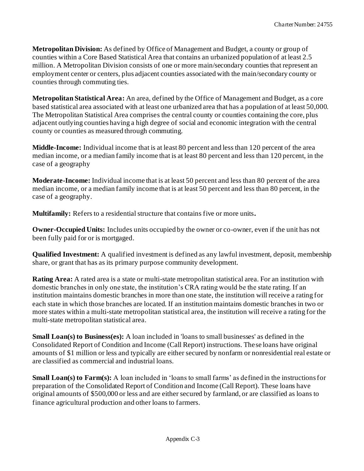**Metropolitan Division:** As defined by Office of Management and Budget, a county or group of counties within a Core Based Statistical Area that contains an urbanized population of at least 2.5 million. A Metropolitan Division consists of one or more main/secondary counties that represent an employment center or centers, plus adjacent counties associated with the main/secondary county or counties through commuting ties.

**Metropolitan Statistical Area:** An area, defined by the Office of Management and Budget, as a core based statistical area associated with at least one urbanized area that has a population of at least 50,000. The Metropolitan Statistical Area comprises the central county or counties containing the core, plus adjacent outlying counties having a high degree of social and economic integration with the central county or counties as measured through commuting.

**Middle-Income:** Individual income that is at least 80 percent and less than 120 percent of the area median income, or a median family income that is at least 80 percent and less than 120 percent, in the case of a geography

**Moderate-Income:** Individual income that is at least 50 percent and less than 80 percent of the area median income, or a median family income that is at least 50 percent and less than 80 percent, in the case of a geography.

**Multifamily:** Refers to a residential structure that contains five or more units**.**

**Owner-Occupied Units:** Includes units occupied by the owner or co-owner, even if the unit has not been fully paid for or is mortgaged.

**Qualified Investment:** A qualified investment is defined as any lawful investment, deposit, membership share, or grant that has as its primary purpose community development.

**Rating Area:** A rated area is a state or multi-state metropolitan statistical area. For an institution with domestic branches in only one state, the institution's CRA rating would be the state rating. If an institution maintains domestic branches in more than one state, the institution will receive a rating for each state in which those branches are located. If an institution maintains domestic branches in two or more states within a multi-state metropolitan statistical area, the institution will receive a rating for the multi-state metropolitan statistical area.

**Small Loan(s) to Business(es):** A loan included in 'loans to small businesses' as defined in the Consolidated Report of Condition and Income (Call Report) instructions. These loans have original amounts of \$1 million or less and typically are either secured by nonfarm or nonresidential real estate or are classified as commercial and industrial loans.

**Small Loan(s) to Farm(s):** A loan included in 'loans to small farms' as defined in the instructions for preparation of the Consolidated Report of Condition and Income (Call Report). These loans have original amounts of \$500,000 or less and are either secured by farmland, or are classified as loans to finance agricultural production and other loans to farmers.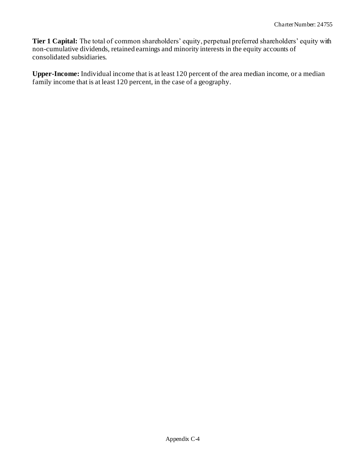**Tier 1 Capital:** The total of common shareholders' equity, perpetual preferred shareholders' equity with non-cumulative dividends, retained earnings and minority interests in the equity accounts of consolidated subsidiaries.

**Upper-Income:** Individual income that is at least 120 percent of the area median income, or a median family income that is at least 120 percent, in the case of a geography.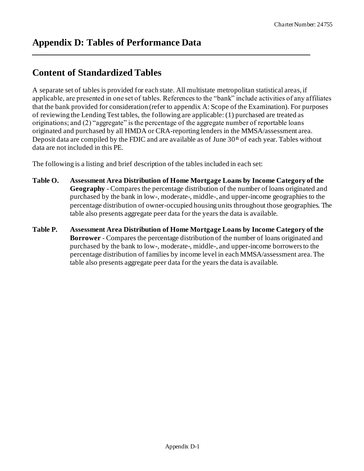## **Content of Standardized Tables**

A separate set of tables is provided for each state. All multistate metropolitan statistical areas, if applicable, are presented in one set of tables. References to the "bank" include activities of any affiliates that the bank provided for consideration (refer to appendix A: Scope of the Examination). For purposes of reviewing the Lending Test tables, the following are applicable: (1) purchased are treated as originations; and (2) "aggregate" is the percentage of the aggregate number of reportable loans originated and purchased by all HMDA or CRA-reporting lenders in the MMSA/assessment area. Deposit data are compiled by the FDIC and are available as of June  $30<sup>th</sup>$  of each year. Tables without data are not included in this PE.

The following is a listing and brief description of the tables included in each set:

- **Table O. Assessment Area Distribution of Home Mortgage Loans by Income Category of the Geography** - Compares the percentage distribution of the number of loans originated and purchased by the bank in low-, moderate-, middle-, and upper-income geographies to the percentage distribution of owner-occupied housing units throughout those geographies. The table also presents aggregate peer data for the years the data is available.
- **Table P. Assessment Area Distribution of Home Mortgage Loans by Income Category of the Borrower** - Compares the percentage distribution of the number of loans originated and purchased by the bank to low-, moderate-, middle-, and upper-income borrowers to the percentage distribution of families by income level in each MMSA/assessment area. The table also presents aggregate peer data for the years the data is available.